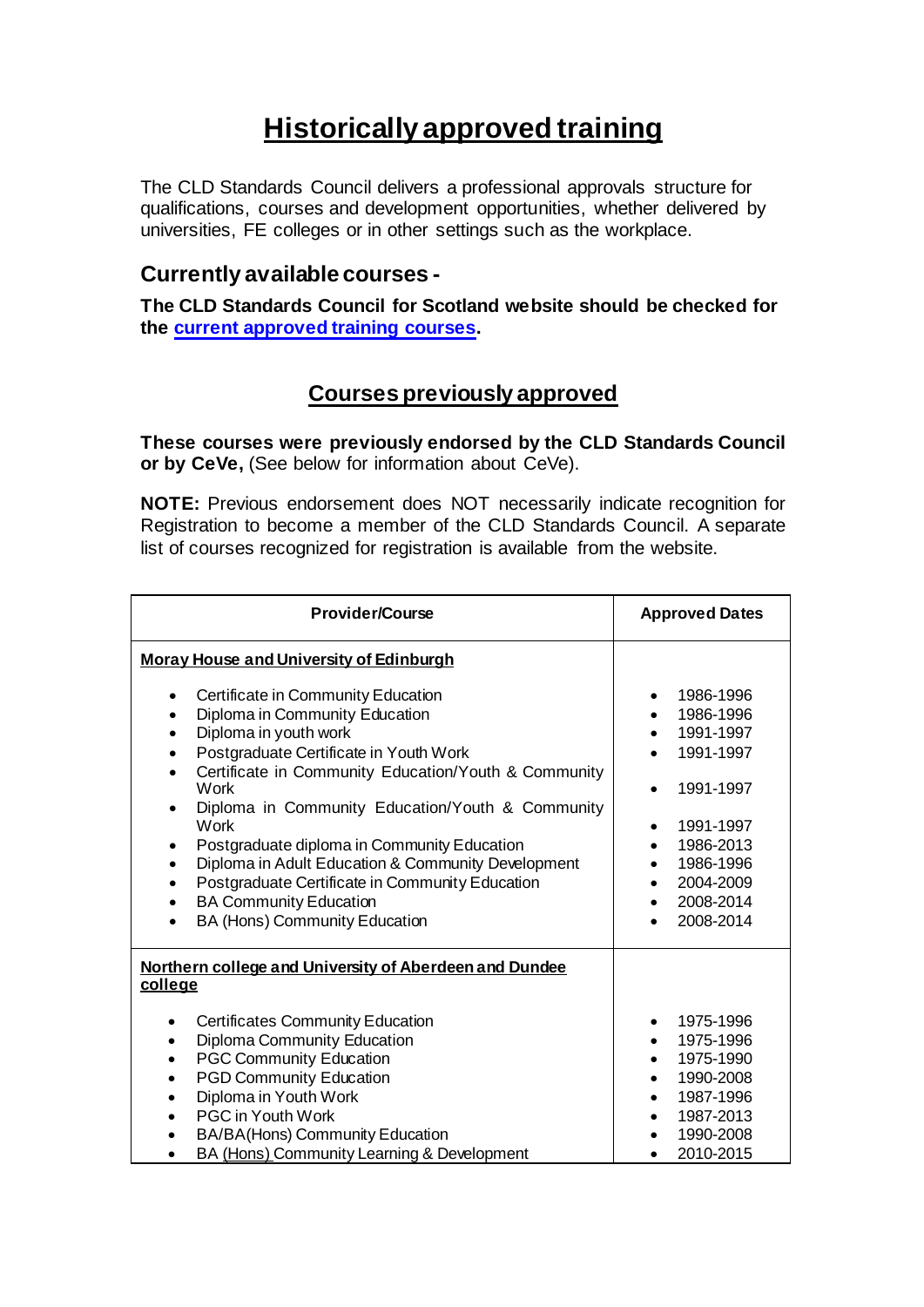# **Historically approved training**

The CLD Standards Council delivers a professional approvals structure for qualifications, courses and development opportunities, whether delivered by universities, FE colleges or in other settings such as the workplace.

### **Currently available courses -**

**The CLD Standards Council for Scotland website should be checked for the [current approved training courses.](http://cldstandardscouncil.org.uk/?page_id=350)** 

### **Courses previously approved**

**These courses were previously endorsed by the CLD Standards Council or by CeVe,** (See below for information about CeVe).

**NOTE:** Previous endorsement does NOT necessarily indicate recognition for Registration to become a member of the CLD Standards Council. A separate list of courses recognized for registration is available from the website.

| <b>Provider/Course</b>                                                                                                                                                                                                                                                                                                                                    | <b>Approved Dates</b>                                                                                             |
|-----------------------------------------------------------------------------------------------------------------------------------------------------------------------------------------------------------------------------------------------------------------------------------------------------------------------------------------------------------|-------------------------------------------------------------------------------------------------------------------|
| <b>Moray House and University of Edinburgh</b><br>Certificate in Community Education<br>$\bullet$<br>Diploma in Community Education<br>٠<br>Diploma in youth work<br>$\bullet$<br>Postgraduate Certificate in Youth Work<br>$\bullet$<br>Certificate in Community Education/Youth & Community<br>Work<br>Diploma in Community Education/Youth & Community | 1986-1996<br>٠<br>1986-1996<br>1991-1997<br>1991-1997<br>1991-1997                                                |
| Work<br>Postgraduate diploma in Community Education<br>Diploma in Adult Education & Community Development<br>$\bullet$<br>Postgraduate Certificate in Community Education<br>$\bullet$<br><b>BA Community Education</b><br>$\bullet$<br>BA (Hons) Community Education                                                                                     | 1991-1997<br>$\bullet$<br>1986-2013<br>1986-1996<br>2004-2009<br>2008-2014<br>2008-2014                           |
| Northern college and University of Aberdeen and Dundee<br>college                                                                                                                                                                                                                                                                                         |                                                                                                                   |
| <b>Certificates Community Education</b><br>Diploma Community Education<br><b>PGC Community Education</b><br><b>PGD Community Education</b><br>Diploma in Youth Work<br><b>PGC in Youth Work</b><br>BA/BA(Hons) Community Education<br>BA (Hons) Community Learning & Development                                                                          | 1975-1996<br>1975-1996<br>$\bullet$<br>1975-1990<br>1990-2008<br>1987-1996<br>1987-2013<br>1990-2008<br>2010-2015 |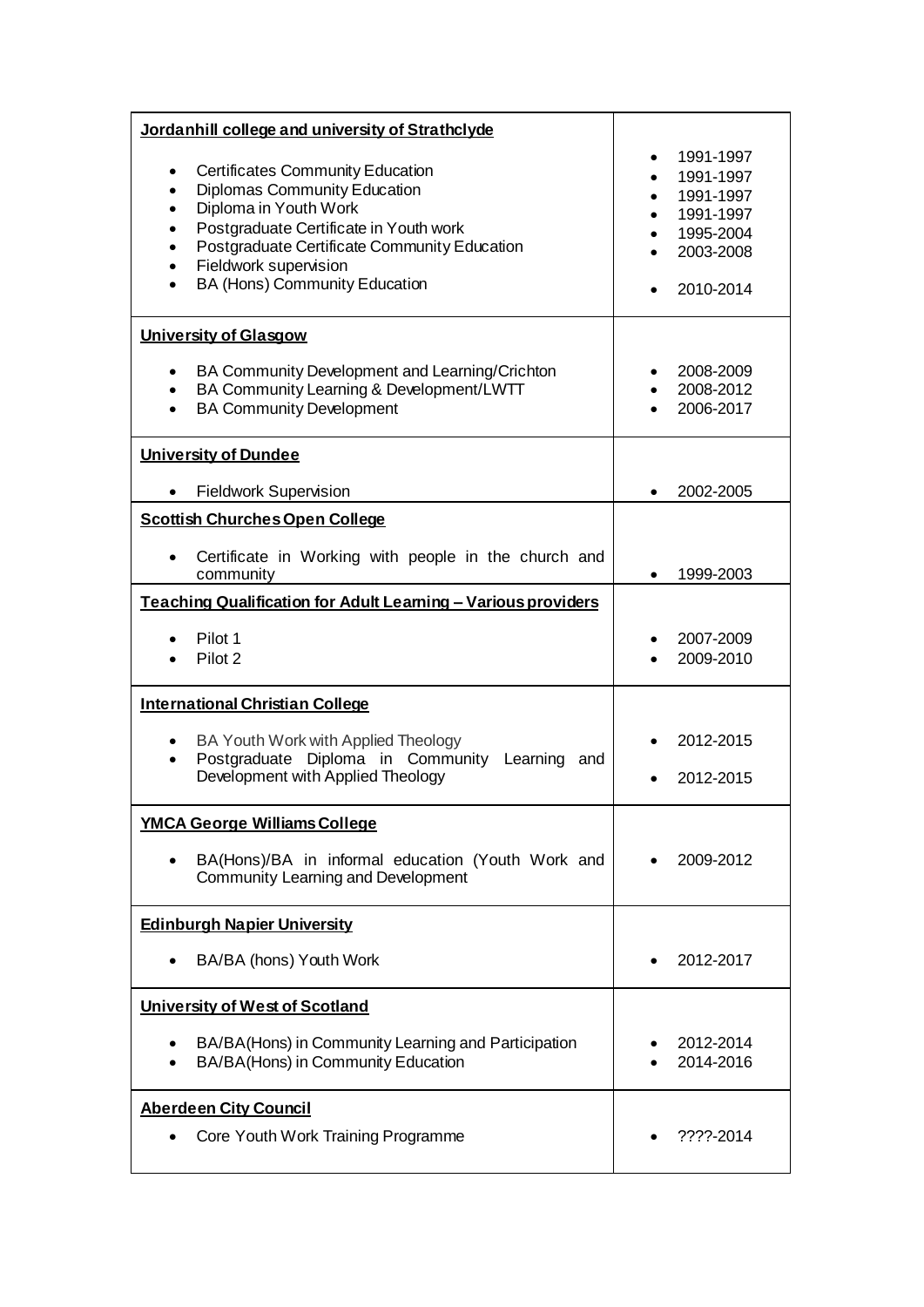| Jordanhill college and university of Strathclyde                                                                                                                                                                                                                                                                                                |                                                                                                      |
|-------------------------------------------------------------------------------------------------------------------------------------------------------------------------------------------------------------------------------------------------------------------------------------------------------------------------------------------------|------------------------------------------------------------------------------------------------------|
| <b>Certificates Community Education</b><br>$\bullet$<br>Diplomas Community Education<br>$\bullet$<br>Diploma in Youth Work<br>$\bullet$<br>Postgraduate Certificate in Youth work<br>$\bullet$<br>Postgraduate Certificate Community Education<br>$\bullet$<br>Fieldwork supervision<br>$\bullet$<br>BA (Hons) Community Education<br>$\bullet$ | 1991-1997<br>$\bullet$<br>1991-1997<br>1991-1997<br>1991-1997<br>1995-2004<br>2003-2008<br>2010-2014 |
| <b>University of Glasgow</b>                                                                                                                                                                                                                                                                                                                    |                                                                                                      |
| BA Community Development and Learning/Crichton<br>$\bullet$<br>BA Community Learning & Development/LWTT<br>$\bullet$<br><b>BA Community Development</b><br>$\bullet$                                                                                                                                                                            | 2008-2009<br>2008-2012<br>2006-2017                                                                  |
| <b>University of Dundee</b>                                                                                                                                                                                                                                                                                                                     |                                                                                                      |
| <b>Fieldwork Supervision</b>                                                                                                                                                                                                                                                                                                                    | 2002-2005                                                                                            |
| <b>Scottish Churches Open College</b>                                                                                                                                                                                                                                                                                                           |                                                                                                      |
| Certificate in Working with people in the church and<br>community                                                                                                                                                                                                                                                                               | 1999-2003                                                                                            |
| Teaching Qualification for Adult Learning - Various providers                                                                                                                                                                                                                                                                                   |                                                                                                      |
| Pilot 1<br>Pilot 2                                                                                                                                                                                                                                                                                                                              | 2007-2009<br>2009-2010                                                                               |
| <b>International Christian College</b>                                                                                                                                                                                                                                                                                                          |                                                                                                      |
| BA Youth Work with Applied Theology<br>Postgraduate Diploma in Community Learning and<br>$\bullet$<br>Development with Applied Theology                                                                                                                                                                                                         | 2012-2015<br>2012-2015                                                                               |
| <b>YMCA George Williams College</b>                                                                                                                                                                                                                                                                                                             |                                                                                                      |
| BA(Hons)/BA in informal education (Youth Work and<br>Community Learning and Development                                                                                                                                                                                                                                                         | 2009-2012                                                                                            |
| <b>Edinburgh Napier University</b>                                                                                                                                                                                                                                                                                                              |                                                                                                      |
| BA/BA (hons) Youth Work                                                                                                                                                                                                                                                                                                                         | 2012-2017                                                                                            |
| University of West of Scotland                                                                                                                                                                                                                                                                                                                  |                                                                                                      |
| BA/BA(Hons) in Community Learning and Participation<br>BA/BA(Hons) in Community Education                                                                                                                                                                                                                                                       | 2012-2014<br>2014-2016                                                                               |
| <b>Aberdeen City Council</b><br>Core Youth Work Training Programme                                                                                                                                                                                                                                                                              | ????-2014                                                                                            |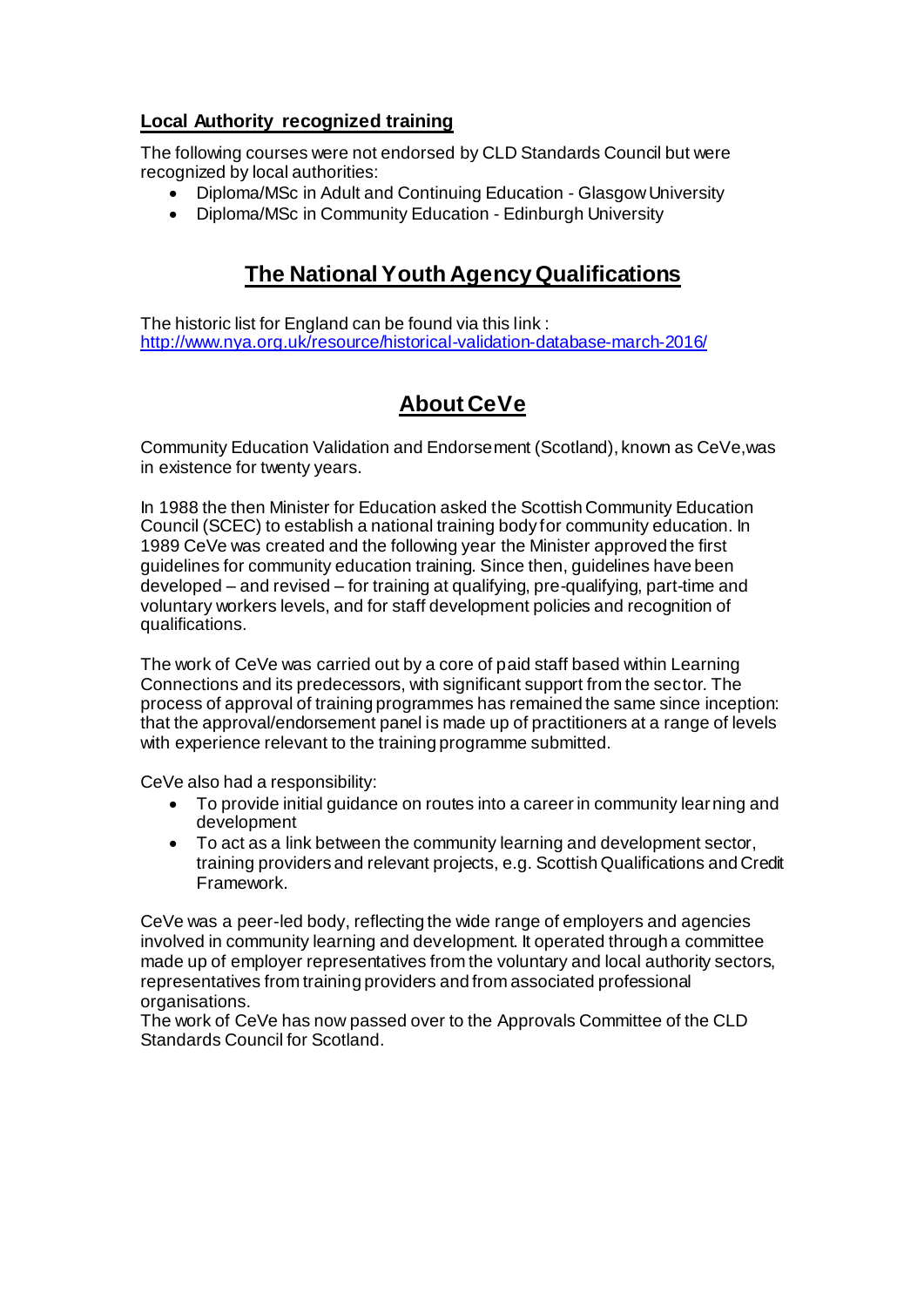### **Local Authority recognized training**

The following courses were not endorsed by CLD Standards Council but were recognized by local authorities:

- Diploma/MSc in Adult and Continuing Education Glasgow University
- Diploma/MSc in Community Education Edinburgh University

## **The National Youth Agency Qualifications**

The historic list for England can be found via this link : <http://www.nya.org.uk/resource/historical-validation-database-march-2016/>

## **About CeVe**

Community Education Validation and Endorsement (Scotland), known as CeVe,was in existence for twenty years.

In 1988 the then Minister for Education asked the Scottish Community Education Council (SCEC) to establish a national training body for community education. In 1989 CeVe was created and the following year the Minister approved the first guidelines for community education training. Since then, guidelines have been developed – and revised – for training at qualifying, pre-qualifying, part-time and voluntary workers levels, and for staff development policies and recognition of qualifications.

The work of CeVe was carried out by a core of paid staff based within Learning Connections and its predecessors, with significant support from the sector. The process of approval of training programmes has remained the same since inception: that the approval/endorsement panel is made up of practitioners at a range of levels with experience relevant to the training programme submitted.

CeVe also had a responsibility:

- To provide initial guidance on routes into a career in community learning and development
- To act as a link between the community learning and development sector, training providers and relevant projects, e.g. Scottish Qualifications and Credit Framework.

CeVe was a peer-led body, reflecting the wide range of employers and agencies involved in community learning and development. It operated through a committee made up of employer representatives from the voluntary and local authority sectors, representatives from training providers and from associated professional organisations.

The work of CeVe has now passed over to the Approvals Committee of the CLD Standards Council for Scotland.